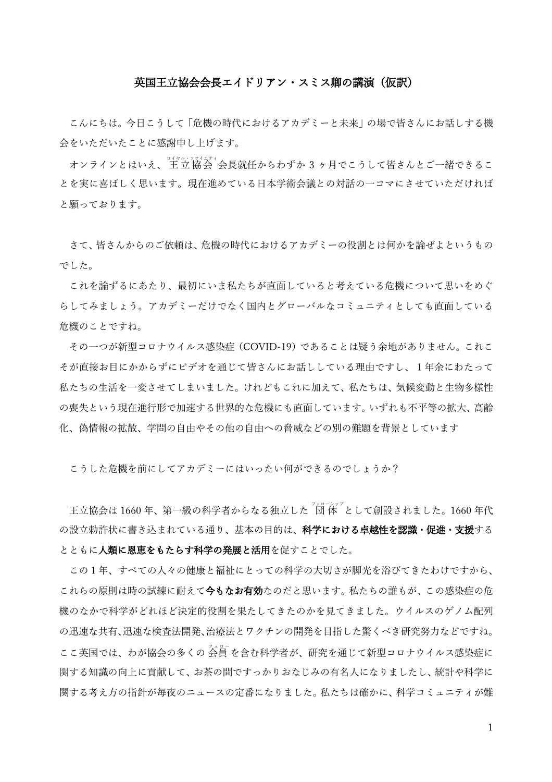## 英国王立協会会長エイドリアン・スミス卿の講演(仮訳)

こんにちは。今日こうして「危機の時代におけるアカデミーと未来」の場で皆さんにお話しする機 会をいただいたことに感謝申し上げます。

オンラインとはいえ、『キャム: シサイキトィ、、、、、、、、、、、、、、、、、、、、、、、 ゔ ヶ月でこうして皆さんとご一緒できるこ とを実に喜ばしく思います。現在進めている日本学術会議との対話の一コマにさせていただければ と願っております。

さて、皆さんからのご依頼は、危機の時代におけるアカデミーの役割とは何かを論ぜよというもの でした。

これを論ずるにあたり、最初にいま私たちが直面していると考えている危機について思いをめぐ らしてみましょう。アカデミーだけでなく国内とグローバルなコミュニティとしても直面している 危機のことですね。

その一つが新型コロナウイルス感染症(COVID-19)であることは疑う余地がありません。これこ そが直接お目にかからずにビデオを通じて皆さんにお話ししている理由ですし、1年余にわたって 私たちの生活を一変させてしまいました。けれどもこれに加えて、私たちは、気候変動と生物多様性 の喪失という現在進行形で加速する世界的な危機にも直面しています。いずれも不平等の拡大、高齢 化、偽情報の拡散、学問の自由やその他の自由への脅威などの別の難題を背景としています

こうした危機を前にしてアカデミーにはいったい何ができるのでしょうか?

王立協会は 1660 年、第一級の科学者からなる独立した<sup>7</sup>司「体<sup>7</sup>として創設されました。1660 年代 の設立勅許状に書き込まれている通り、基本の目的は、**科学における卓越性を認識・促進・支援**する とともに人類に恩恵をもたらす科学の発展と活用を促すことでした。

この1年、すべての人々の健康と福祉にとっての科学の大切さが脚光を浴びてきたわけですから、 これらの原則は時の試練に耐えて今もなお有効なのだと思います。私たちの誰もが、この感染症の危 機のなかで科学がどれほど決定的役割を果たしてきたのかを見てきました。ウイルスのゲノム配列 の迅速な共有、迅速な検査法開発、治療法とワクチンの開発を目指した驚くべき研究努力などですね。 ここ英国では、わが協会の多くの会員を含む科学者が、研究を通じて新型コロナウイルス感染症に 関する知識の向上に貢献して、お茶の間ですっかりおなじみの有名人になりましたし、統計や科学に 関する考え方の指針が毎夜のニュースの定番になりました。私たちは確かに、科学コミュニティが難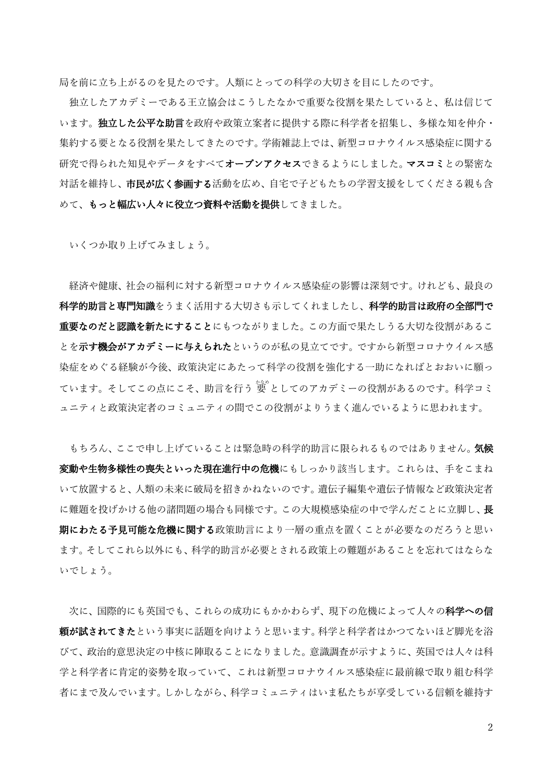局を前に立ち上がるのを見たのです。人類にとっての科学の大切さを目にしたのです。

独立したアカデミーである王立協会はこうしたなかで重要な役割を果たしていると、私は信じて います。独立した公平な助言を政府や政策立案者に提供する際に科学者を招集し、多様な知を仲介・ 集約する要となる役割を果たしてきたのです。学術雑誌上では、新型コロナウイルス感染症に関する 研究で得られた知見やデータをすべてオープンアクセスできるようにしました。マスコミとの緊密な 対話を維持し、市民が広く参画する活動を広め、自宅で子どもたちの学習支援をしてくださる親も含 めて、もっと幅広い人々に役立つ資料や活動を提供してきました。

いくつか取り上げてみましょう。

経済や健康、社会の福利に対する新型コロナウイルス感染症の影響は深刻です。けれども、最良の 科学的助言と専門知識をうまく活用する大切さも示してくれましたし、科学的助言は政府の全部門で 重要なのだと認識を新たにすることにもつながりました。この方面で果たしうる大切な役割があるこ とを示す機会がアカデミーに与えられたというのが私の見立てです。ですから新型コロナウイルス感 染症をめぐる経験が今後、政策決定にあたって科学の役割を強化する一助になればとおおいに願っ ています。そしてこの点にこそ、助言を行う <sup>"簧"</sup>としてのアカデミーの役割があるのです。科学コミ ュニティと政策決定者のコミュニティの間でこの役割がよりうまく進んでいるように思われます。

もちろん、ここで申し上げていることは緊急時の科学的助言に限られるものではありません。 **気候** 変動や生物多様性の喪失といった現在進行中の危機にもしっかり該当します。これらは、手をこまね いて放置すると、人類の未来に破局を招きかねないのです。遺伝子編集や遺伝子情報など政策決定者 に難題を投げかける他の諸問題の場合も同様です。この大規模感染症の中で学んだことに立脚し、長 期にわたる予見可能な危機に関する政策助言により一層の重点を置くことが必要なのだろうと思い ます。そしてこれら以外にも、科学的助言が必要とされる政策上の難題があることを忘れてはならな いでしょう。

次に、国際的にも英国でも、これらの成功にもかかわらず、現下の危機によって人々の科学への信 頼が試されてきたという事実に話題を向けようと思います。科学と科学者はかつてないほど脚光を浴 びて、政治的意思決定の中核に陣取ることになりました。意識調査が示すように、英国では人々は科 学と科学者に肯定的姿勢を取っていて、これは新型コロナウイルス感染症に最前線で取り組む科学 者にまで及んでいます。しかしながら、科学コミュニティはいま私たちが享受している信頼を維持す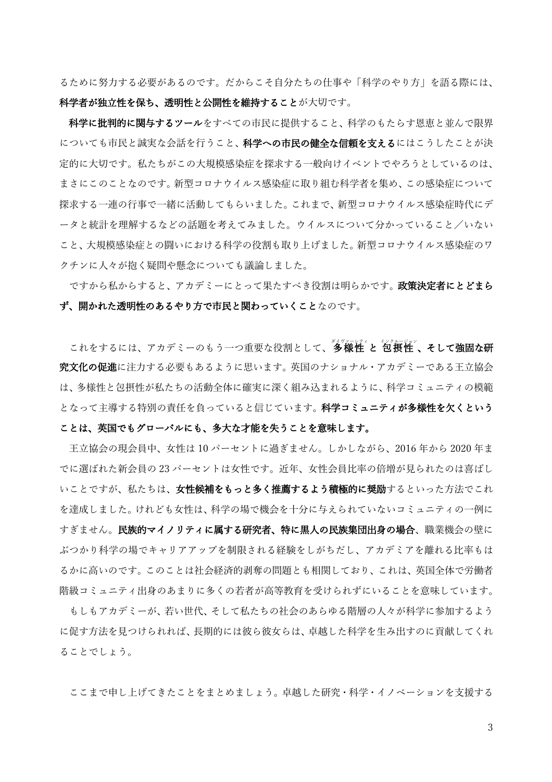るために努力する必要があるのです。だからこそ自分たちの仕事や「科学のやり方」を語る際には、 科学者が独立性を保ち、透明性と公開性を維持することが大切です。

科学に批判的に関与するツールをすべての市民に提供すること、科学のもたらす恩恵と並んで限界 についても市民と誠実な会話を行うこと、**科学への市民の健全な信頼を支える**にはこうしたことが決 定的に大切です。私たちがこの大規模感染症を探求する一般向けイベントでやろうとしているのは、 まさにこのことなのです。新型コロナウイルス感染症に取り組む科学者を集め、この感染症について 探求する一連の行事で一緒に活動してもらいました。これまで、新型コロナウイルス感染症時代にデ ータと統計を理解するなどの話題を考えてみました。ウイルスについて分かっていること/いない こと、大規模感染症との闘いにおける科学の役割も取り上げました。新型コロナウイルス感染症のワ クチンに人々が抱く疑問や懸念についても議論しました。

ですから私からすると、アカデミーにとって果たすべき役割は明らかです。政策決定者にとどまら ず、開かれた透明性のあるやり方で市民と関わっていくことなのです。

これをするには、アカデミーのもう一つ重要な役割として、多様性 と 包摂性、そして強固な研 究文化の促進に注力する必要もあるように思います。英国のナショナル・アカデミーである王立協会 は、多様性と包摂性が私たちの活動全体に確実に深く組み込まれるように、科学コミュニティの模範 となって主導する特別の責任を負っていると信じています。科学コミュニティが多様性を欠くという ことは、英国でもグローバルにも、多大な才能を失うことを意味します。

王立協会の現会員中、女性は 10 パーセントに過ぎません。しかしながら、2016 年から 2020 年ま でに選ばれた新会員の 23 パーセントは女性です。近年、女性会員比率の倍増が見られたのは喜ばし いことですが、私たちは、女性候補をもっと多く推薦するよう積極的に奨励するといった方法でこれ を達成しました。けれども女性は、科学の場で機会を十分に与えられていないコミュニティの一例に すぎません。民族的マイノリティに属する研究者、特に黒人の民族集団出身の場合、職業機会の壁に ぶつかり科学の場でキャリアアップを制限される経験をしがちだし、アカデミアを離れる比率もは るかに高いのです。このことは社会経済的剥奪の問題とも相関しており、これは、英国全体で労働者 階級コミュニティ出身のあまりに多くの若者が高等教育を受けられずにいることを意味しています。

もしもアカデミーが、若い世代、そして私たちの社会のあらゆる階層の人々が科学に参加するよう に促す方法を見つけられれば、長期的には彼ら彼女らは、卓越した科学を生み出すのに貢献してくれ ることでしょう。

ここまで申し上げてきたことをまとめましょう。卓越した研究・科学・イノベーションを支援する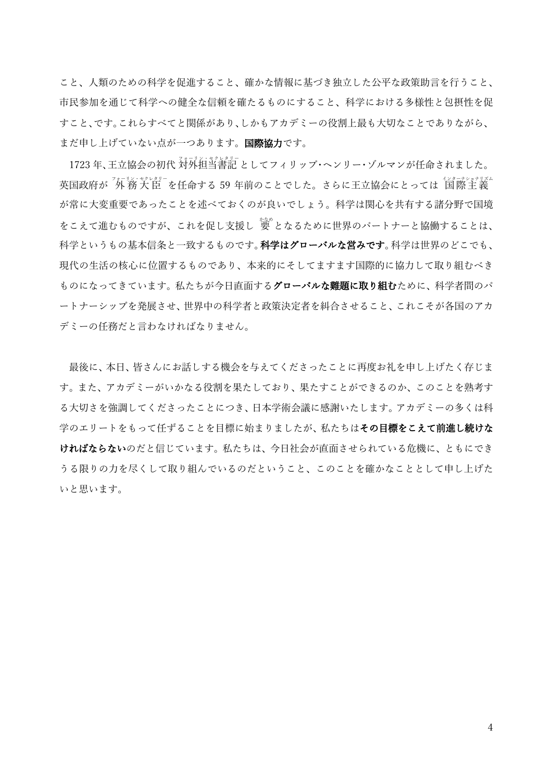こと、人類のための科学を促進すること、確かな情報に基づき独立した公平な政策助言を行うこと、 市民参加を通じて科学への健全な信頼を確たるものにすること、科学における多様性と包摂性を促 すこと、です。これらすべてと関係があり、しかもアカデミーの役割上最も大切なことでありながら、 まだ申し上げていない点が一つあります。国際協力です。

1723 年、王立協会の初代 対外担当書記 としてフィリップ・ヘンリー・ゾルマンが任命されました。 英国政府が <sup>7</sup>外 務 大 臣 <sup>-</sup> を任命する 59 年前のことでした。さらに王立協会にとっては 「国際主義<sup>」</sup> が常に大変重要であったことを述べておくのが良いでしょう。科学は関心を共有する諸分野で国境 をこえて進むものですが、これを促し支援し <sup>"</sup>( 
) となるために世界のパートナーと協働することは、 科学というもの基本信条と一致するものです。科学はグローバルな営みです。科学は世界のどこでも、 現代の生活の核心に位置するものであり、本来的にそしてますます国際的に協力して取り組むべき ものになってきています。私たちが今日直面する**グローバルな難題に取り組む**ために、科学者間のパ ートナーシップを発展させ、世界中の科学者と政策決定者を糾合させること、これこそが各国のアカ デミーの任務だと言わなければなりません。

最後に、本日、皆さんにお話しする機会を与えてくださったことに再度お礼を申し上げたく存じま す。また、アカデミーがいかなる役割を果たしており、果たすことができるのか、このことを熟考す る大切さを強調してくださったことにつき、日本学術会議に感謝いたします。アカデミーの多くは科 学のエリートをもって任ずることを目標に始まりましたが、私たちはその目標をこえて前進し続けな ければならないのだと信じています。私たちは、今日社会が直面させられている危機に、ともにでき うる限りの力を尽くして取り組んでいるのだということ、このことを確かなこととして申し上げた いと思います。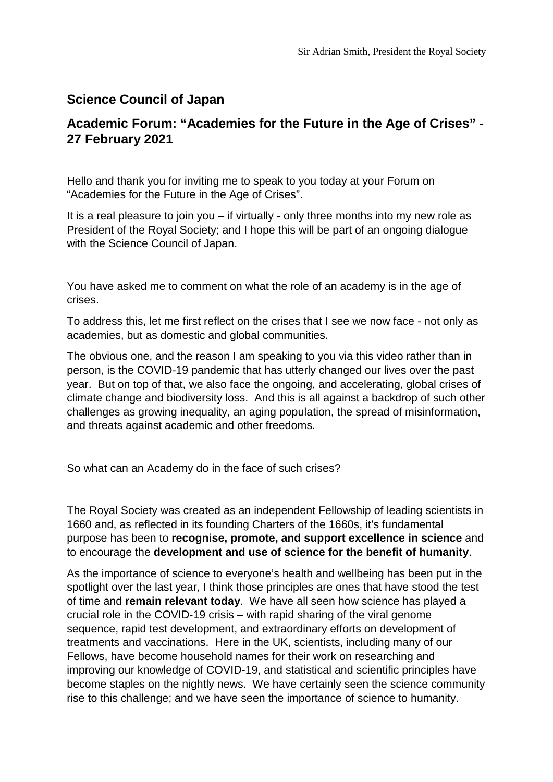## **Science Council of Japan**

## **Academic Forum: "Academies for the Future in the Age of Crises" - 27 February 2021**

Hello and thank you for inviting me to speak to you today at your Forum on "Academies for the Future in the Age of Crises".

It is a real pleasure to join you – if virtually - only three months into my new role as President of the Royal Society; and I hope this will be part of an ongoing dialogue with the Science Council of Japan.

You have asked me to comment on what the role of an academy is in the age of crises.

To address this, let me first reflect on the crises that I see we now face - not only as academies, but as domestic and global communities.

The obvious one, and the reason I am speaking to you via this video rather than in person, is the COVID-19 pandemic that has utterly changed our lives over the past year. But on top of that, we also face the ongoing, and accelerating, global crises of climate change and biodiversity loss. And this is all against a backdrop of such other challenges as growing inequality, an aging population, the spread of misinformation, and threats against academic and other freedoms.

So what can an Academy do in the face of such crises?

The Royal Society was created as an independent Fellowship of leading scientists in 1660 and, as reflected in its founding Charters of the 1660s, it's fundamental purpose has been to **recognise, promote, and support excellence in science** and to encourage the **development and use of science for the benefit of humanity**.

As the importance of science to everyone's health and wellbeing has been put in the spotlight over the last year, I think those principles are ones that have stood the test of time and **remain relevant today**. We have all seen how science has played a crucial role in the COVID-19 crisis – with rapid sharing of the viral genome sequence, rapid test development, and extraordinary efforts on development of treatments and vaccinations. Here in the UK, scientists, including many of our Fellows, have become household names for their work on researching and improving our knowledge of COVID-19, and statistical and scientific principles have become staples on the nightly news. We have certainly seen the science community rise to this challenge; and we have seen the importance of science to humanity.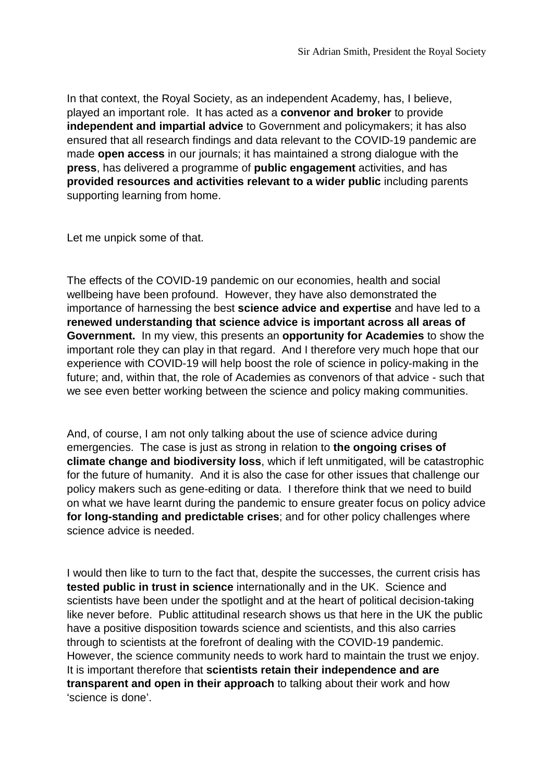In that context, the Royal Society, as an independent Academy, has, I believe, played an important role. It has acted as a **convenor and broker** to provide **independent and impartial advice** to Government and policymakers; it has also ensured that all research findings and data relevant to the COVID-19 pandemic are made **open access** in our journals; it has maintained a strong dialogue with the **press**, has delivered a programme of **public engagement** activities, and has **provided resources and activities relevant to a wider public** including parents supporting learning from home.

Let me unpick some of that.

The effects of the COVID-19 pandemic on our economies, health and social wellbeing have been profound. However, they have also demonstrated the importance of harnessing the best **science advice and expertise** and have led to a **renewed understanding that science advice is important across all areas of Government.** In my view, this presents an **opportunity for Academies** to show the important role they can play in that regard. And I therefore very much hope that our experience with COVID-19 will help boost the role of science in policy-making in the future; and, within that, the role of Academies as convenors of that advice - such that we see even better working between the science and policy making communities.

And, of course, I am not only talking about the use of science advice during emergencies. The case is just as strong in relation to **the ongoing crises of climate change and biodiversity loss**, which if left unmitigated, will be catastrophic for the future of humanity. And it is also the case for other issues that challenge our policy makers such as gene-editing or data. I therefore think that we need to build on what we have learnt during the pandemic to ensure greater focus on policy advice **for long-standing and predictable crises**; and for other policy challenges where science advice is needed.

I would then like to turn to the fact that, despite the successes, the current crisis has **tested public in trust in science** internationally and in the UK. Science and scientists have been under the spotlight and at the heart of political decision-taking like never before. Public attitudinal research shows us that here in the UK the public have a positive disposition towards science and scientists, and this also carries through to scientists at the forefront of dealing with the COVID-19 pandemic. However, the science community needs to work hard to maintain the trust we enjoy. It is important therefore that **scientists retain their independence and are transparent and open in their approach** to talking about their work and how 'science is done'.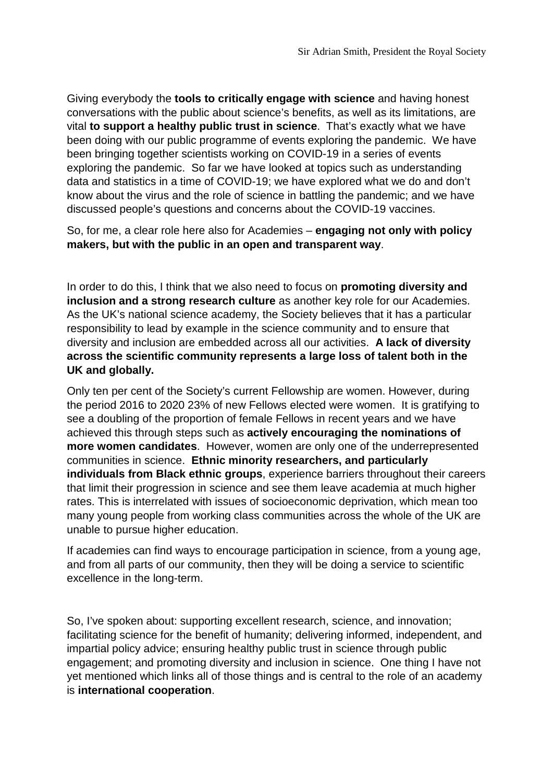Giving everybody the **tools to critically engage with science** and having honest conversations with the public about science's benefits, as well as its limitations, are vital **to support a healthy public trust in science**. That's exactly what we have been doing with our public programme of events exploring the pandemic. We have been bringing together scientists working on COVID-19 in a series of events exploring the pandemic. So far we have looked at topics such as understanding data and statistics in a time of COVID-19; we have explored what we do and don't know about the virus and the role of science in battling the pandemic; and we have discussed people's questions and concerns about the COVID-19 vaccines.

So, for me, a clear role here also for Academies – **engaging not only with policy makers, but with the public in an open and transparent way**.

In order to do this, I think that we also need to focus on **promoting diversity and inclusion and a strong research culture** as another key role for our Academies. As the UK's national science academy, the Society believes that it has a particular responsibility to lead by example in the science community and to ensure that diversity and inclusion are embedded across all our activities. **A lack of diversity across the scientific community represents a large loss of talent both in the UK and globally.** 

Only ten per cent of the Society's current Fellowship are women. However, during the period 2016 to 2020 23% of new Fellows elected were women. It is gratifying to see a doubling of the proportion of female Fellows in recent years and we have achieved this through steps such as **actively encouraging the nominations of more women candidates**. However, women are only one of the underrepresented communities in science. **Ethnic minority researchers, and particularly individuals from Black ethnic groups**, experience barriers throughout their careers that limit their progression in science and see them leave academia at much higher rates. This is interrelated with issues of socioeconomic deprivation, which mean too many young people from working class communities across the whole of the UK are unable to pursue higher education.

If academies can find ways to encourage participation in science, from a young age, and from all parts of our community, then they will be doing a service to scientific excellence in the long-term.

So, I've spoken about: supporting excellent research, science, and innovation; facilitating science for the benefit of humanity; delivering informed, independent, and impartial policy advice; ensuring healthy public trust in science through public engagement; and promoting diversity and inclusion in science. One thing I have not yet mentioned which links all of those things and is central to the role of an academy is **international cooperation**.